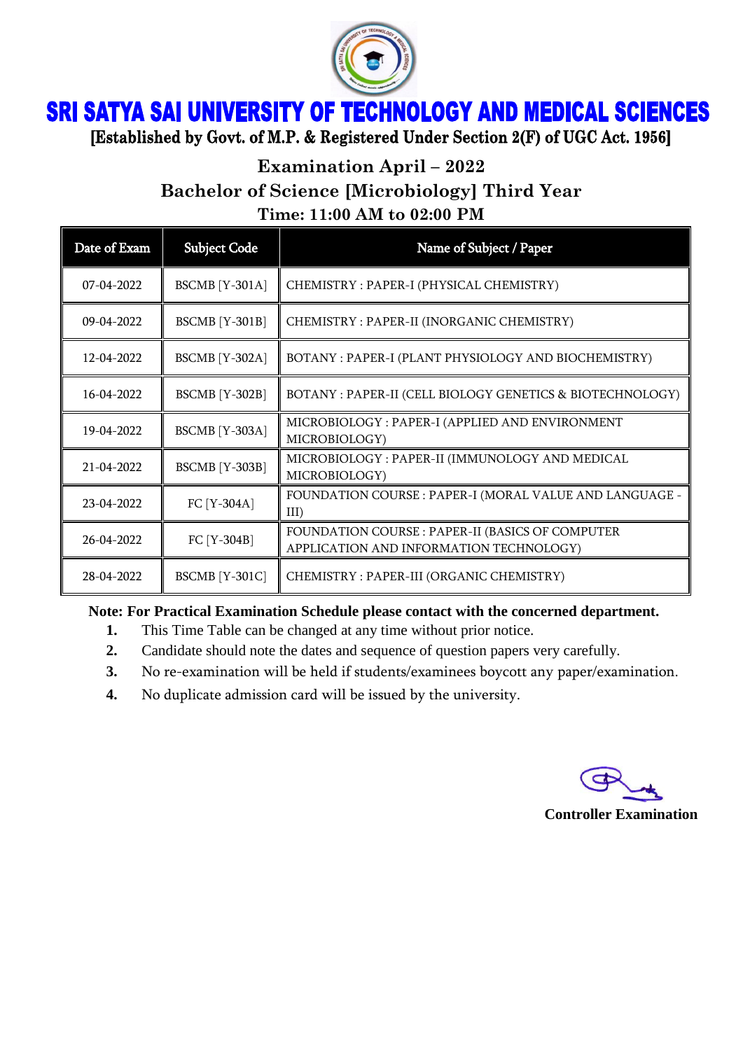

## **SRI SATYA SAI UNIVERSITY OF TECHNOLOGY AND MEDICAL SCIENCES**

[Established by Govt. of M.P. & Registered Under Section 2(F) of UGC Act. 1956]

**Examination April – 2022**

**Bachelor of Science [Microbiology] Third Year**

**Time: 11:00 AM to 02:00 PM**

| Date of Exam | <b>Subject Code</b>   | Name of Subject / Paper                                                                     |
|--------------|-----------------------|---------------------------------------------------------------------------------------------|
| 07-04-2022   | <b>BSCMB</b> [Y-301A] | CHEMISTRY: PAPER-I (PHYSICAL CHEMISTRY)                                                     |
| 09-04-2022   | <b>BSCMB</b> [Y-301B] | CHEMISTRY : PAPER-II (INORGANIC CHEMISTRY)                                                  |
| 12-04-2022   | <b>BSCMB</b> [Y-302A] | BOTANY: PAPER-I (PLANT PHYSIOLOGY AND BIOCHEMISTRY)                                         |
| 16-04-2022   | <b>BSCMB</b> [Y-302B] | BOTANY : PAPER-II (CELL BIOLOGY GENETICS & BIOTECHNOLOGY)                                   |
| 19-04-2022   | <b>BSCMB</b> [Y-303A] | MICROBIOLOGY : PAPER-I (APPLIED AND ENVIRONMENT<br>MICROBIOLOGY)                            |
| 21-04-2022   | <b>BSCMB</b> [Y-303B] | MICROBIOLOGY : PAPER-II (IMMUNOLOGY AND MEDICAL<br>MICROBIOLOGY)                            |
| 23-04-2022   | FC [Y-304A]           | FOUNDATION COURSE : PAPER-I (MORAL VALUE AND LANGUAGE -<br>III                              |
| 26-04-2022   | FC [Y-304B]           | FOUNDATION COURSE : PAPER-II (BASICS OF COMPUTER<br>APPLICATION AND INFORMATION TECHNOLOGY) |
| 28-04-2022   | <b>BSCMB</b> [Y-301C] | CHEMISTRY: PAPER-III (ORGANIC CHEMISTRY)                                                    |

**Note: For Practical Examination Schedule please contact with the concerned department.**

- **1.** This Time Table can be changed at any time without prior notice.
- **2.** Candidate should note the dates and sequence of question papers very carefully.
- **3.** No re-examination will be held if students/examinees boycott any paper/examination.
- **4.** No duplicate admission card will be issued by the university.

**Controller Examination**